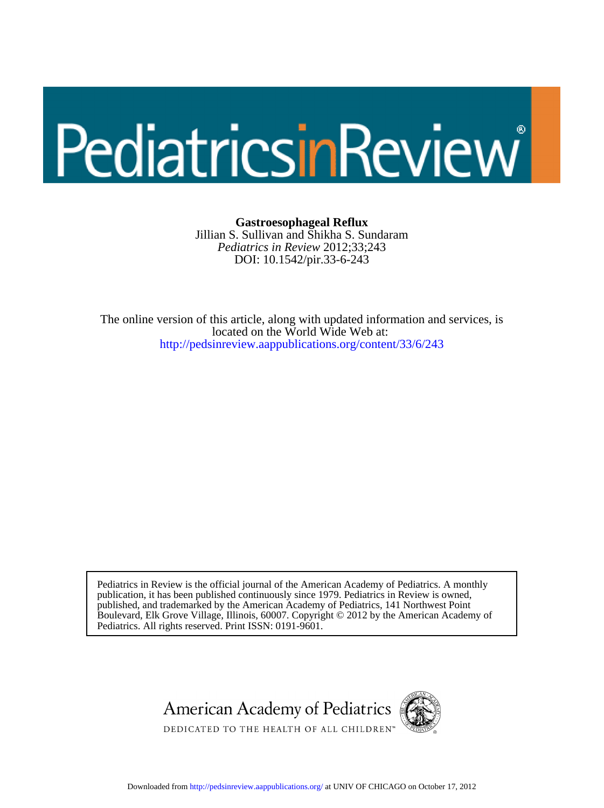# PediatricsinReview

DOI: 10.1542/pir.33-6-243 *Pediatrics in Review* 2012;33;243 Jillian S. Sullivan and Shikha S. Sundaram **Gastroesophageal Reflux**

[http://pedsinreview.aappublications.org/content/33/6/243](http://http://pedsinreview.aappublications.org/content/33/6/243) located on the World Wide Web at: The online version of this article, along with updated information and services, is

Pediatrics. All rights reserved. Print ISSN: 0191-9601. Boulevard, Elk Grove Village, Illinois, 60007. Copyright © 2012 by the American Academy of published, and trademarked by the American Academy of Pediatrics, 141 Northwest Point publication, it has been published continuously since 1979. Pediatrics in Review is owned, Pediatrics in Review is the official journal of the American Academy of Pediatrics. A monthly

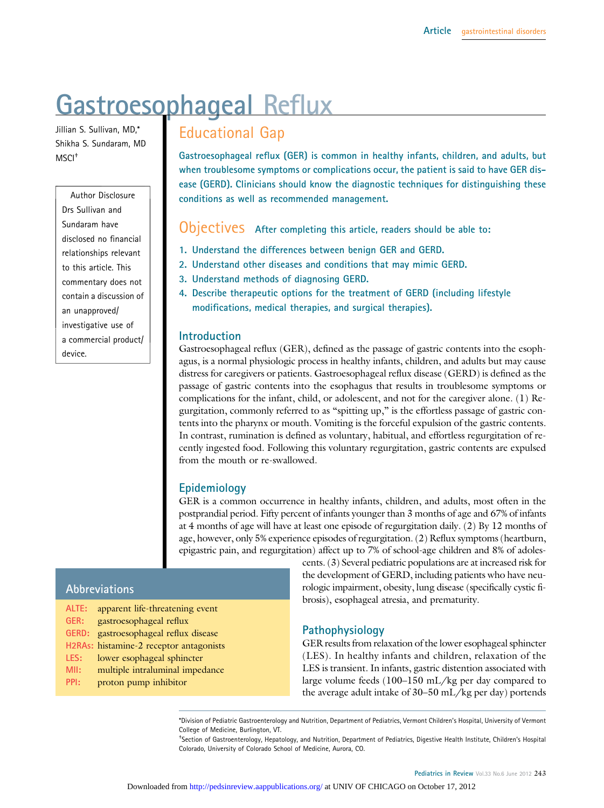# Gastroesophageal Reflux

Jillian S. Sullivan, MD,\* Shikha S. Sundaram, MD MSCI†

Author Disclosure Drs Sullivan and Sundaram have disclosed no financial relationships relevant to this article. This commentary does not contain a discussion of an unapproved/ investigative use of a commercial product/ device.

# Educational Gap

Gastroesophageal reflux (GER) is common in healthy infants, children, and adults, but when troublesome symptoms or complications occur, the patient is said to have GER disease (GERD). Clinicians should know the diagnostic techniques for distinguishing these conditions as well as recommended management.

# Objectives After completing this article, readers should be able to:

- 1. Understand the differences between benign GER and GERD.
- 2. Understand other diseases and conditions that may mimic GERD.
- 3. Understand methods of diagnosing GERD.
- 4. Describe therapeutic options for the treatment of GERD (including lifestyle modifications, medical therapies, and surgical therapies).

#### Introduction

Gastroesophageal reflux (GER), defined as the passage of gastric contents into the esophagus, is a normal physiologic process in healthy infants, children, and adults but may cause distress for caregivers or patients. Gastroesophageal reflux disease (GERD) is defined as the passage of gastric contents into the esophagus that results in troublesome symptoms or complications for the infant, child, or adolescent, and not for the caregiver alone. (1) Regurgitation, commonly referred to as "spitting up," is the effortless passage of gastric contents into the pharynx or mouth. Vomiting is the forceful expulsion of the gastric contents. In contrast, rumination is defined as voluntary, habitual, and effortless regurgitation of recently ingested food. Following this voluntary regurgitation, gastric contents are expulsed from the mouth or re-swallowed.

#### Epidemiology

GER is a common occurrence in healthy infants, children, and adults, most often in the postprandial period. Fifty percent of infants younger than 3 months of age and 67% of infants at 4 months of age will have at least one episode of regurgitation daily. (2) By 12 months of age, however, only 5% experience episodes of regurgitation. (2) Reflux symptoms (heartburn, epigastric pain, and regurgitation) affect up to 7% of school-age children and 8% of adoles-

#### Abbreviations

- ALTE: apparent life-threatening event
- GER: gastroesophageal reflux
- GERD: gastroesophageal reflux disease
- H2RAs: histamine-2 receptor antagonists
- LES: lower esophageal sphincter
- MII: multiple intraluminal impedance
- PPI: proton pump inhibitor

cents. (3) Several pediatric populations are at increased risk for the development of GERD, including patients who have neurologic impairment, obesity, lung disease (specifically cystic fibrosis), esophageal atresia, and prematurity.

#### Pathophysiology

GER results from relaxation of the lower esophageal sphincter (LES). In healthy infants and children, relaxation of the LES is transient. In infants, gastric distention associated with large volume feeds (100–150 mL/kg per day compared to the average adult intake of 30–50 mL/kg per day) portends

\*Division of Pediatric Gastroenterology and Nutrition, Department of Pediatrics, Vermont Children's Hospital, University of Vermont College of Medicine, Burlington, VT.

† Section of Gastroenterology, Hepatology, and Nutrition, Department of Pediatrics, Digestive Health Institute, Children's Hospital Colorado, University of Colorado School of Medicine, Aurora, CO.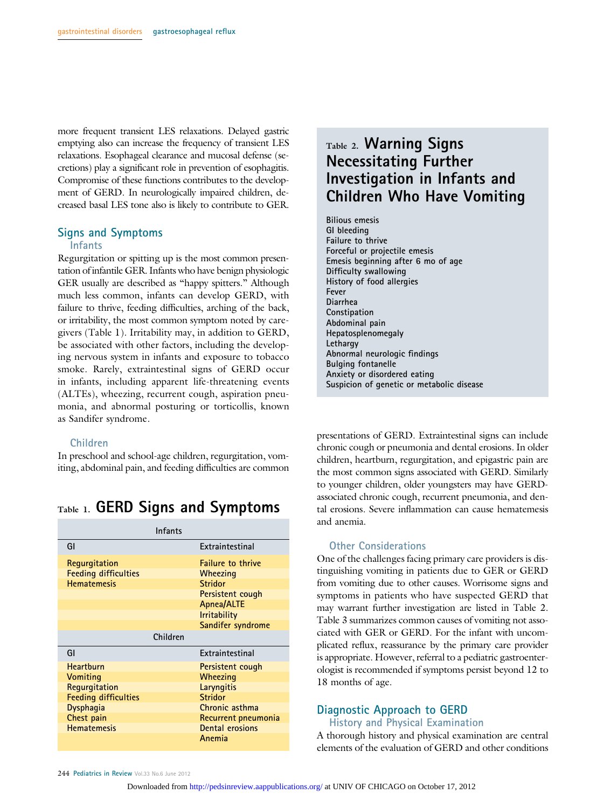more frequent transient LES relaxations. Delayed gastric emptying also can increase the frequency of transient LES relaxations. Esophageal clearance and mucosal defense (secretions) play a significant role in prevention of esophagitis. Compromise of these functions contributes to the development of GERD. In neurologically impaired children, decreased basal LES tone also is likely to contribute to GER.

#### Signs and Symptoms Infants

Regurgitation or spitting up is the most common presentation of infantile GER. Infants who have benign physiologic GER usually are described as "happy spitters." Although much less common, infants can develop GERD, with failure to thrive, feeding difficulties, arching of the back, or irritability, the most common symptom noted by caregivers (Table 1). Irritability may, in addition to GERD, be associated with other factors, including the developing nervous system in infants and exposure to tobacco smoke. Rarely, extraintestinal signs of GERD occur in infants, including apparent life-threatening events (ALTEs), wheezing, recurrent cough, aspiration pneumonia, and abnormal posturing or torticollis, known as Sandifer syndrome.

#### Children

In preschool and school-age children, regurgitation, vomiting, abdominal pain, and feeding difficulties are common

# Table 1. GERD Signs and Symptoms

| Infants                                      |                                             |  |  |
|----------------------------------------------|---------------------------------------------|--|--|
| GI                                           | <b>Extraintestinal</b>                      |  |  |
| Regurgitation<br><b>Feeding difficulties</b> | <b>Failure to thrive</b><br><b>Wheezing</b> |  |  |
| <b>Hematemesis</b>                           | <b>Stridor</b>                              |  |  |
|                                              | Persistent cough                            |  |  |
|                                              | Apnea/ALTE                                  |  |  |
|                                              | <b>Irritability</b>                         |  |  |
|                                              | Sandifer syndrome                           |  |  |
|                                              | Children                                    |  |  |
| GI                                           | <b>Extraintestinal</b>                      |  |  |
| <b>Heartburn</b>                             | Persistent cough                            |  |  |
| Vomiting                                     | Wheezing                                    |  |  |
| Regurgitation                                | Laryngitis                                  |  |  |
| <b>Feeding difficulties</b>                  | Stridor                                     |  |  |
| <b>Dysphagia</b>                             | Chronic asthma                              |  |  |
| Chest pain                                   | Recurrent pneumonia                         |  |  |
| <b>Hematemesis</b>                           | <b>Dental erosions</b>                      |  |  |
|                                              | Anemia                                      |  |  |

# Table 2. Warning Signs Necessitating Further Investigation in Infants and Children Who Have Vomiting

Bilious emesis GI bleeding Failure to thrive Forceful or projectile emesis Emesis beginning after 6 mo of age Difficulty swallowing History of food allergies Fever Diarrhea Constipation Abdominal pain Hepatosplenomegaly Lethargy Abnormal neurologic findings Bulging fontanelle Anxiety or disordered eating Suspicion of genetic or metabolic disease

presentations of GERD. Extraintestinal signs can include chronic cough or pneumonia and dental erosions. In older children, heartburn, regurgitation, and epigastric pain are the most common signs associated with GERD. Similarly to younger children, older youngsters may have GERDassociated chronic cough, recurrent pneumonia, and dental erosions. Severe inflammation can cause hematemesis and anemia.

#### Other Considerations

One of the challenges facing primary care providers is distinguishing vomiting in patients due to GER or GERD from vomiting due to other causes. Worrisome signs and symptoms in patients who have suspected GERD that may warrant further investigation are listed in Table 2. Table 3 summarizes common causes of vomiting not associated with GER or GERD. For the infant with uncomplicated reflux, reassurance by the primary care provider is appropriate. However, referral to a pediatric gastroenterologist is recommended if symptoms persist beyond 12 to 18 months of age.

#### Diagnostic Approach to GERD History and Physical Examination

A thorough history and physical examination are central elements of the evaluation of GERD and other conditions

244 Pediatrics in Review Vol.33 No.6 June 2012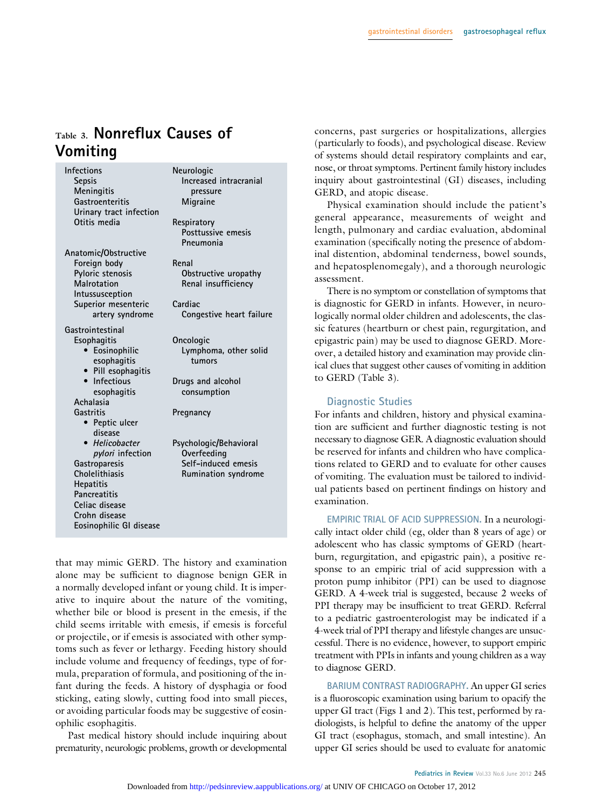# Table 3. Nonreflux Causes of Vomiting

Infections Neurologic **Sepsis** Meningitis **Gastroenteritis** Urinary tract infection Otitis media Increased intracranial pressure Migraine Respiratory Posttussive emesis Pneumonia Anatomic/Obstructive Foreign body Renal Pyloric stenosis **Constructive uropathy**<br>Malrotation **Malrotation** Renal insufficiency Renal insufficiency Intussusception Superior mesenteric artery syndrome **Cardiac** Congestive heart failure Gastrointestinal Esophagitis Oncologic • Eosinophilic esophagitis Lymphoma, other solid tumors • Pill esophagitis • Infectious esophagitis Drugs and alcohol consumption Achalasia Gastritis **Pregnancy** • Peptic ulcer disease • Helicobacter pylori infection Psychologic/Behavioral Overfeeding Gastroparesis Self-induced emesis Cholelithiasis Rumination syndrome **Hepatitis Pancreatitis** Celiac disease Crohn disease Eosinophilic GI disease

that may mimic GERD. The history and examination alone may be sufficient to diagnose benign GER in a normally developed infant or young child. It is imperative to inquire about the nature of the vomiting, whether bile or blood is present in the emesis, if the child seems irritable with emesis, if emesis is forceful or projectile, or if emesis is associated with other symptoms such as fever or lethargy. Feeding history should include volume and frequency of feedings, type of formula, preparation of formula, and positioning of the infant during the feeds. A history of dysphagia or food sticking, eating slowly, cutting food into small pieces, or avoiding particular foods may be suggestive of eosinophilic esophagitis.

Past medical history should include inquiring about prematurity, neurologic problems, growth or developmental concerns, past surgeries or hospitalizations, allergies (particularly to foods), and psychological disease. Review of systems should detail respiratory complaints and ear, nose, or throat symptoms. Pertinent family history includes inquiry about gastrointestinal (GI) diseases, including GERD, and atopic disease.

Physical examination should include the patient's general appearance, measurements of weight and length, pulmonary and cardiac evaluation, abdominal examination (specifically noting the presence of abdominal distention, abdominal tenderness, bowel sounds, and hepatosplenomegaly), and a thorough neurologic assessment.

There is no symptom or constellation of symptoms that is diagnostic for GERD in infants. However, in neurologically normal older children and adolescents, the classic features (heartburn or chest pain, regurgitation, and epigastric pain) may be used to diagnose GERD. Moreover, a detailed history and examination may provide clinical clues that suggest other causes of vomiting in addition to GERD (Table 3).

#### Diagnostic Studies

For infants and children, history and physical examination are sufficient and further diagnostic testing is not necessary to diagnose GER. A diagnostic evaluation should be reserved for infants and children who have complications related to GERD and to evaluate for other causes of vomiting. The evaluation must be tailored to individual patients based on pertinent findings on history and examination.

EMPIRIC TRIAL OF ACID SUPPRESSION. In a neurologically intact older child (eg, older than 8 years of age) or adolescent who has classic symptoms of GERD (heartburn, regurgitation, and epigastric pain), a positive response to an empiric trial of acid suppression with a proton pump inhibitor (PPI) can be used to diagnose GERD. A 4-week trial is suggested, because 2 weeks of PPI therapy may be insufficient to treat GERD. Referral to a pediatric gastroenterologist may be indicated if a 4-week trial of PPI therapy and lifestyle changes are unsuccessful. There is no evidence, however, to support empiric treatment with PPIs in infants and young children as a way to diagnose GERD.

BARIUM CONTRAST RADIOGRAPHY. An upper GI series is a fluoroscopic examination using barium to opacify the upper GI tract (Figs 1 and 2). This test, performed by radiologists, is helpful to define the anatomy of the upper GI tract (esophagus, stomach, and small intestine). An upper GI series should be used to evaluate for anatomic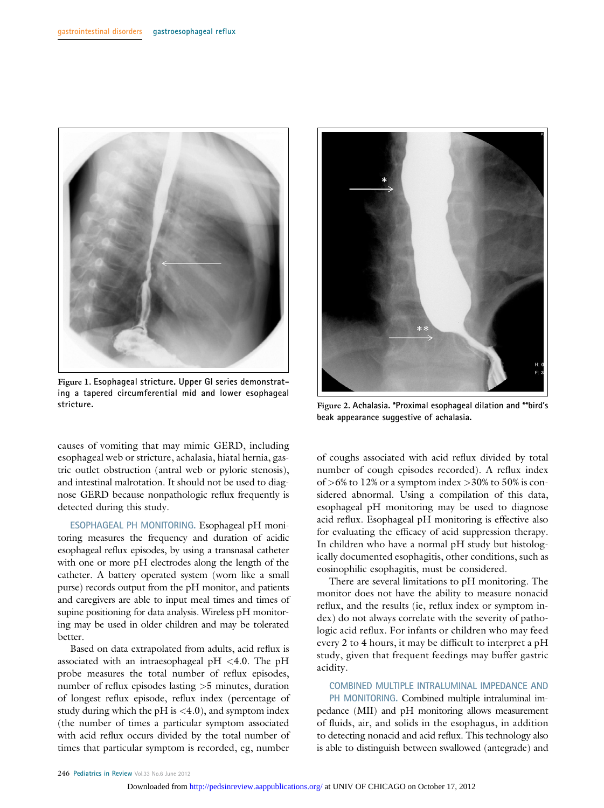

Figure 1. Esophageal stricture. Upper GI series demonstrating a tapered circumferential mid and lower esophageal stricture. Figure 2. Achalasia. \*Proximal esophageal dilation and \*\*bird's

causes of vomiting that may mimic GERD, including esophageal web or stricture, achalasia, hiatal hernia, gastric outlet obstruction (antral web or pyloric stenosis), and intestinal malrotation. It should not be used to diagnose GERD because nonpathologic reflux frequently is detected during this study.

ESOPHAGEAL PH MONITORING. Esophageal pH monitoring measures the frequency and duration of acidic esophageal reflux episodes, by using a transnasal catheter with one or more pH electrodes along the length of the catheter. A battery operated system (worn like a small purse) records output from the pH monitor, and patients and caregivers are able to input meal times and times of supine positioning for data analysis. Wireless pH monitoring may be used in older children and may be tolerated better.

Based on data extrapolated from adults, acid reflux is associated with an intraesophageal pH <4.0. The pH probe measures the total number of reflux episodes, number of reflux episodes lasting >5 minutes, duration of longest reflux episode, reflux index (percentage of study during which the  $pH$  is  $\langle 4.0 \rangle$ , and symptom index (the number of times a particular symptom associated with acid reflux occurs divided by the total number of times that particular symptom is recorded, eg, number



beak appearance suggestive of achalasia.

of coughs associated with acid reflux divided by total number of cough episodes recorded). A reflux index of  $>6\%$  to 12% or a symptom index  $>30\%$  to 50% is considered abnormal. Using a compilation of this data, esophageal pH monitoring may be used to diagnose acid reflux. Esophageal pH monitoring is effective also for evaluating the efficacy of acid suppression therapy. In children who have a normal pH study but histologically documented esophagitis, other conditions, such as eosinophilic esophagitis, must be considered.

There are several limitations to pH monitoring. The monitor does not have the ability to measure nonacid reflux, and the results (ie, reflux index or symptom index) do not always correlate with the severity of pathologic acid reflux. For infants or children who may feed every 2 to 4 hours, it may be difficult to interpret a pH study, given that frequent feedings may buffer gastric acidity.

#### COMBINED MULTIPLE INTRALUMINAL IMPEDANCE AND PH MONITORING. Combined multiple intraluminal impedance (MII) and pH monitoring allows measurement of fluids, air, and solids in the esophagus, in addition to detecting nonacid and acid reflux. This technology also is able to distinguish between swallowed (antegrade) and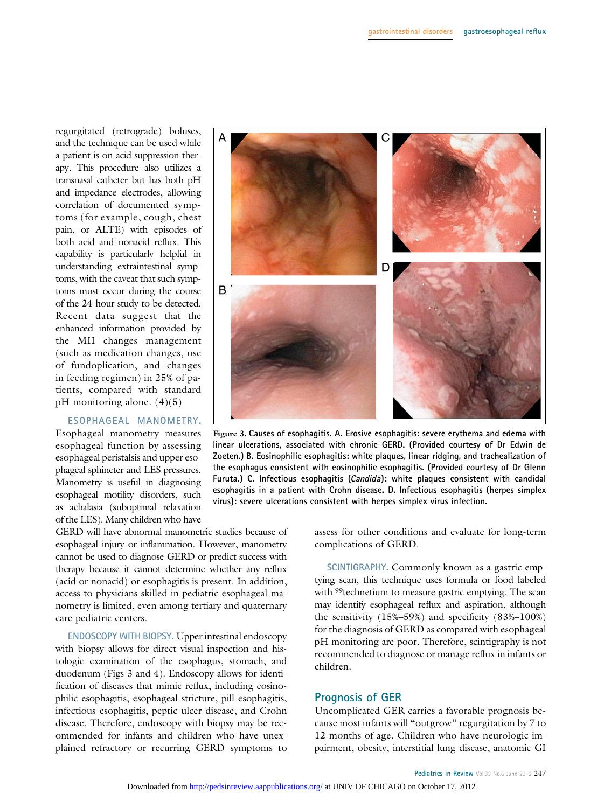regurgitated (retrograde) boluses, and the technique can be used while a patient is on acid suppression therapy. This procedure also utilizes a transnasal catheter but has both pH and impedance electrodes, allowing correlation of documented symptoms (for example, cough, chest pain, or ALTE) with episodes of both acid and nonacid reflux. This capability is particularly helpful in understanding extraintestinal symptoms, with the caveat that such symptoms must occur during the course of the 24-hour study to be detected. Recent data suggest that the enhanced information provided by the MII changes management (such as medication changes, use of fundoplication, and changes in feeding regimen) in 25% of patients, compared with standard pH monitoring alone. (4)(5)

ESOPHAGEAL MANOMETRY.

Esophageal manometry measures esophageal function by assessing esophageal peristalsis and upper esophageal sphincter and LES pressures. Manometry is useful in diagnosing esophageal motility disorders, such as achalasia (suboptimal relaxation of the LES). Many children who have

GERD will have abnormal manometric studies because of esophageal injury or inflammation. However, manometry cannot be used to diagnose GERD or predict success with therapy because it cannot determine whether any reflux (acid or nonacid) or esophagitis is present. In addition, access to physicians skilled in pediatric esophageal manometry is limited, even among tertiary and quaternary care pediatric centers.

ENDOSCOPY WITH BIOPSY. Upper intestinal endoscopy with biopsy allows for direct visual inspection and histologic examination of the esophagus, stomach, and duodenum (Figs 3 and 4). Endoscopy allows for identification of diseases that mimic reflux, including eosinophilic esophagitis, esophageal stricture, pill esophagitis, infectious esophagitis, peptic ulcer disease, and Crohn disease. Therefore, endoscopy with biopsy may be recommended for infants and children who have unexplained refractory or recurring GERD symptoms to



Figure 3. Causes of esophagitis. A. Erosive esophagitis: severe erythema and edema with linear ulcerations, associated with chronic GERD. (Provided courtesy of Dr Edwin de Zoeten.) B. Eosinophilic esophagitis: white plaques, linear ridging, and trachealization of the esophagus consistent with eosinophilic esophagitis. (Provided courtesy of Dr Glenn Furuta.) C. Infectious esophagitis (Candida): white plaques consistent with candidal esophagitis in a patient with Crohn disease. D. Infectious esophagitis (herpes simplex virus): severe ulcerations consistent with herpes simplex virus infection.

assess for other conditions and evaluate for long-term complications of GERD.

SCINTIGRAPHY. Commonly known as a gastric emptying scan, this technique uses formula or food labeled with <sup>99</sup>technetium to measure gastric emptying. The scan may identify esophageal reflux and aspiration, although the sensitivity (15%–59%) and specificity (83%–100%) for the diagnosis of GERD as compared with esophageal pH monitoring are poor. Therefore, scintigraphy is not recommended to diagnose or manage reflux in infants or children.

#### Prognosis of GER

Uncomplicated GER carries a favorable prognosis because most infants will "outgrow" regurgitation by 7 to 12 months of age. Children who have neurologic impairment, obesity, interstitial lung disease, anatomic GI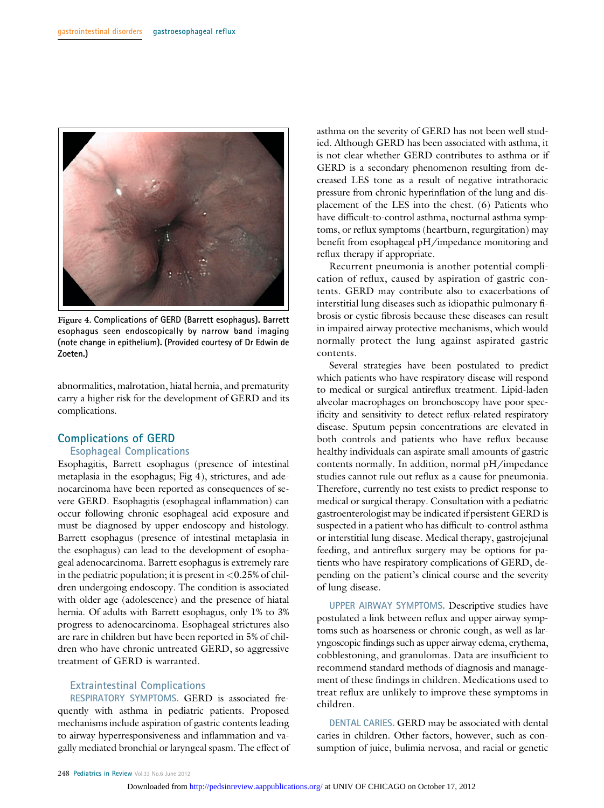

Figure 4. Complications of GERD (Barrett esophagus). Barrett esophagus seen endoscopically by narrow band imaging (note change in epithelium). (Provided courtesy of Dr Edwin de Zoeten.)

abnormalities, malrotation, hiatal hernia, and prematurity carry a higher risk for the development of GERD and its complications.

#### Complications of GERD

#### Esophageal Complications

Esophagitis, Barrett esophagus (presence of intestinal metaplasia in the esophagus; Fig 4), strictures, and adenocarcinoma have been reported as consequences of severe GERD. Esophagitis (esophageal inflammation) can occur following chronic esophageal acid exposure and must be diagnosed by upper endoscopy and histology. Barrett esophagus (presence of intestinal metaplasia in the esophagus) can lead to the development of esophageal adenocarcinoma. Barrett esophagus is extremely rare in the pediatric population; it is present in  $<$  0.25% of children undergoing endoscopy. The condition is associated with older age (adolescence) and the presence of hiatal hernia. Of adults with Barrett esophagus, only 1% to 3% progress to adenocarcinoma. Esophageal strictures also are rare in children but have been reported in 5% of children who have chronic untreated GERD, so aggressive treatment of GERD is warranted.

#### Extraintestinal Complications

RESPIRATORY SYMPTOMS. GERD is associated frequently with asthma in pediatric patients. Proposed mechanisms include aspiration of gastric contents leading to airway hyperresponsiveness and inflammation and vagally mediated bronchial or laryngeal spasm. The effect of asthma on the severity of GERD has not been well studied. Although GERD has been associated with asthma, it is not clear whether GERD contributes to asthma or if GERD is a secondary phenomenon resulting from decreased LES tone as a result of negative intrathoracic pressure from chronic hyperinflation of the lung and displacement of the LES into the chest. (6) Patients who have difficult-to-control asthma, nocturnal asthma symptoms, or reflux symptoms (heartburn, regurgitation) may benefit from esophageal pH/impedance monitoring and reflux therapy if appropriate.

Recurrent pneumonia is another potential complication of reflux, caused by aspiration of gastric contents. GERD may contribute also to exacerbations of interstitial lung diseases such as idiopathic pulmonary fibrosis or cystic fibrosis because these diseases can result in impaired airway protective mechanisms, which would normally protect the lung against aspirated gastric contents.

Several strategies have been postulated to predict which patients who have respiratory disease will respond to medical or surgical antireflux treatment. Lipid-laden alveolar macrophages on bronchoscopy have poor specificity and sensitivity to detect reflux-related respiratory disease. Sputum pepsin concentrations are elevated in both controls and patients who have reflux because healthy individuals can aspirate small amounts of gastric contents normally. In addition, normal pH/impedance studies cannot rule out reflux as a cause for pneumonia. Therefore, currently no test exists to predict response to medical or surgical therapy. Consultation with a pediatric gastroenterologist may be indicated if persistent GERD is suspected in a patient who has difficult-to-control asthma or interstitial lung disease. Medical therapy, gastrojejunal feeding, and antireflux surgery may be options for patients who have respiratory complications of GERD, depending on the patient's clinical course and the severity of lung disease.

UPPER AIRWAY SYMPTOMS. Descriptive studies have postulated a link between reflux and upper airway symptoms such as hoarseness or chronic cough, as well as laryngoscopic findings such as upper airway edema, erythema, cobblestoning, and granulomas. Data are insufficient to recommend standard methods of diagnosis and management of these findings in children. Medications used to treat reflux are unlikely to improve these symptoms in children.

DENTAL CARIES. GERD may be associated with dental caries in children. Other factors, however, such as consumption of juice, bulimia nervosa, and racial or genetic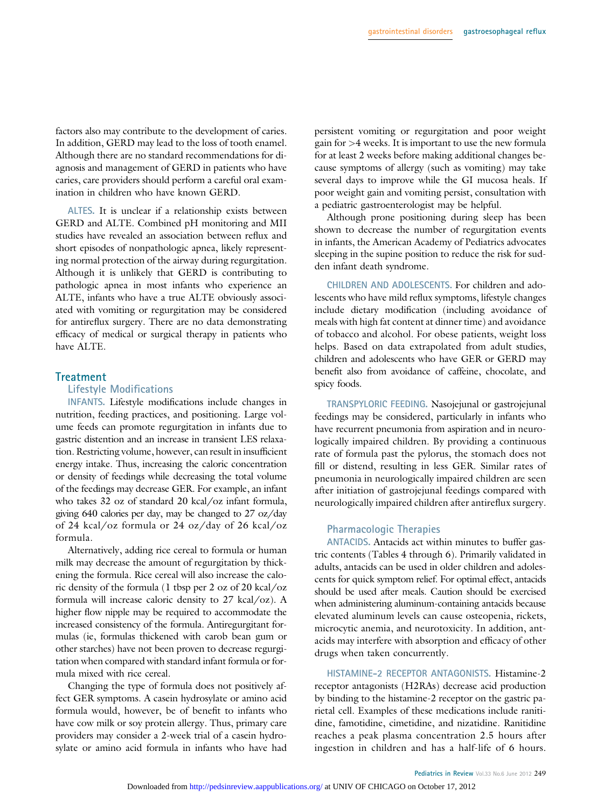factors also may contribute to the development of caries. In addition, GERD may lead to the loss of tooth enamel. Although there are no standard recommendations for diagnosis and management of GERD in patients who have caries, care providers should perform a careful oral examination in children who have known GERD.

ALTES. It is unclear if a relationship exists between GERD and ALTE. Combined pH monitoring and MII studies have revealed an association between reflux and short episodes of nonpathologic apnea, likely representing normal protection of the airway during regurgitation. Although it is unlikely that GERD is contributing to pathologic apnea in most infants who experience an ALTE, infants who have a true ALTE obviously associated with vomiting or regurgitation may be considered for antireflux surgery. There are no data demonstrating efficacy of medical or surgical therapy in patients who have ALTE.

#### **Treatment**

#### Lifestyle Modifications

INFANTS. Lifestyle modifications include changes in nutrition, feeding practices, and positioning. Large volume feeds can promote regurgitation in infants due to gastric distention and an increase in transient LES relaxation. Restricting volume, however, can result in insufficient energy intake. Thus, increasing the caloric concentration or density of feedings while decreasing the total volume of the feedings may decrease GER. For example, an infant who takes 32 oz of standard 20 kcal/oz infant formula, giving 640 calories per day, may be changed to 27 oz/day of 24 kcal/oz formula or 24 oz/day of 26 kcal/oz formula.

Alternatively, adding rice cereal to formula or human milk may decrease the amount of regurgitation by thickening the formula. Rice cereal will also increase the caloric density of the formula (1 tbsp per 2 oz of 20 kcal/oz formula will increase caloric density to 27 kcal/oz). A higher flow nipple may be required to accommodate the increased consistency of the formula. Antiregurgitant formulas (ie, formulas thickened with carob bean gum or other starches) have not been proven to decrease regurgitation when compared with standard infant formula or formula mixed with rice cereal.

Changing the type of formula does not positively affect GER symptoms. A casein hydrosylate or amino acid formula would, however, be of benefit to infants who have cow milk or soy protein allergy. Thus, primary care providers may consider a 2-week trial of a casein hydrosylate or amino acid formula in infants who have had persistent vomiting or regurgitation and poor weight gain for >4 weeks. It is important to use the new formula for at least 2 weeks before making additional changes because symptoms of allergy (such as vomiting) may take several days to improve while the GI mucosa heals. If poor weight gain and vomiting persist, consultation with a pediatric gastroenterologist may be helpful.

Although prone positioning during sleep has been shown to decrease the number of regurgitation events in infants, the American Academy of Pediatrics advocates sleeping in the supine position to reduce the risk for sudden infant death syndrome.

CHILDREN AND ADOLESCENTS. For children and adolescents who have mild reflux symptoms, lifestyle changes include dietary modification (including avoidance of meals with high fat content at dinner time) and avoidance of tobacco and alcohol. For obese patients, weight loss helps. Based on data extrapolated from adult studies, children and adolescents who have GER or GERD may benefit also from avoidance of caffeine, chocolate, and spicy foods.

TRANSPYLORIC FEEDING. Nasojejunal or gastrojejunal feedings may be considered, particularly in infants who have recurrent pneumonia from aspiration and in neurologically impaired children. By providing a continuous rate of formula past the pylorus, the stomach does not fill or distend, resulting in less GER. Similar rates of pneumonia in neurologically impaired children are seen after initiation of gastrojejunal feedings compared with neurologically impaired children after antireflux surgery.

#### Pharmacologic Therapies

ANTACIDS. Antacids act within minutes to buffer gastric contents (Tables 4 through 6). Primarily validated in adults, antacids can be used in older children and adolescents for quick symptom relief. For optimal effect, antacids should be used after meals. Caution should be exercised when administering aluminum-containing antacids because elevated aluminum levels can cause osteopenia, rickets, microcytic anemia, and neurotoxicity. In addition, antacids may interfere with absorption and efficacy of other drugs when taken concurrently.

HISTAMINE-2 RECEPTOR ANTAGONISTS. Histamine-2 receptor antagonists (H2RAs) decrease acid production by binding to the histamine-2 receptor on the gastric parietal cell. Examples of these medications include ranitidine, famotidine, cimetidine, and nizatidine. Ranitidine reaches a peak plasma concentration 2.5 hours after ingestion in children and has a half-life of 6 hours.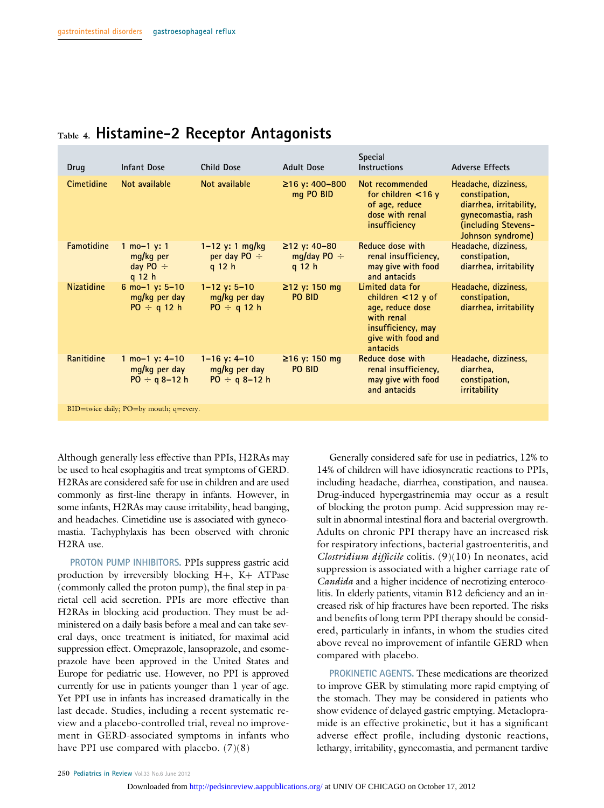| Drug                                   | <b>Infant Dose</b>                                        | <b>Child Dose</b>                                             | <b>Adult Dose</b>                          | Special<br><b>Instructions</b>                                                                                                       | <b>Adverse Effects</b>                                                                                                             |
|----------------------------------------|-----------------------------------------------------------|---------------------------------------------------------------|--------------------------------------------|--------------------------------------------------------------------------------------------------------------------------------------|------------------------------------------------------------------------------------------------------------------------------------|
| <b>Cimetidine</b>                      | Not available                                             | Not available                                                 | $≥16$ y: 400-800<br>mg PO BID              | Not recommended<br>for children $<$ 16 y<br>of age, reduce<br>dose with renal<br>insufficiency                                       | Headache, dizziness,<br>constipation,<br>diarrhea, irritability,<br>gynecomastia, rash<br>(including Stevens-<br>Johnson syndrome) |
| Famotidine                             | 1 mo-1 y: 1<br>mg/kg per<br>day PO $\div$<br>q 12 h       | $1 - 12$ y: 1 mg/kg<br>per day PO $\div$<br>q 12 h            | $≥12$ y: 40-80<br>mg/day PO $\div$<br>q12h | Reduce dose with<br>renal insufficiency,<br>may give with food<br>and antacids                                                       | Headache, dizziness,<br>constipation,<br>diarrhea, irritability                                                                    |
| <b>Nizatidine</b>                      | 6 mo-1 y: $5-10$<br>mg/kg per day<br>$PO \div q 12 h$     | $1 - 12$ y: 5-10<br>mg/kg per day<br>$PO \div q 12 h$         | $≥12$ y: 150 mq<br>PO BID                  | Limited data for<br>children $\lt$ 12 y of<br>age, reduce dose<br>with renal<br>insufficiency, may<br>give with food and<br>antacids | Headache, dizziness,<br>constipation,<br>diarrhea, irritability                                                                    |
| Ranitidine                             | 1 mo-1 y: $4-10$<br>mg/kg per day<br>$PO \div q 8 - 12 h$ | $1 - 16$ y: $4 - 10$<br>mg/kg per day<br>$PO \div q 8 - 12 h$ | $≥16$ y: 150 mg<br>PO BID                  | Reduce dose with<br>renal insufficiency,<br>may give with food<br>and antacids                                                       | Headache, dizziness,<br>diarrhea,<br>constipation,<br><i>irritability</i>                                                          |
| BID=twice daily; PO=by mouth; q=every. |                                                           |                                                               |                                            |                                                                                                                                      |                                                                                                                                    |

# Table 4. Histamine-2 Receptor Antagonists

Although generally less effective than PPIs, H2RAs may be used to heal esophagitis and treat symptoms of GERD. H2RAs are considered safe for use in children and are used commonly as first-line therapy in infants. However, in some infants, H2RAs may cause irritability, head banging, and headaches. Cimetidine use is associated with gynecomastia. Tachyphylaxis has been observed with chronic H2RA use.

PROTON PUMP INHIBITORS. PPIs suppress gastric acid production by irreversibly blocking  $H+$ ,  $K+$  ATPase (commonly called the proton pump), the final step in parietal cell acid secretion. PPIs are more effective than H2RAs in blocking acid production. They must be administered on a daily basis before a meal and can take several days, once treatment is initiated, for maximal acid suppression effect. Omeprazole, lansoprazole, and esomeprazole have been approved in the United States and Europe for pediatric use. However, no PPI is approved currently for use in patients younger than 1 year of age. Yet PPI use in infants has increased dramatically in the last decade. Studies, including a recent systematic review and a placebo-controlled trial, reveal no improvement in GERD-associated symptoms in infants who have PPI use compared with placebo. (7)(8)

Generally considered safe for use in pediatrics, 12% to 14% of children will have idiosyncratic reactions to PPIs, including headache, diarrhea, constipation, and nausea. Drug-induced hypergastrinemia may occur as a result of blocking the proton pump. Acid suppression may result in abnormal intestinal flora and bacterial overgrowth. Adults on chronic PPI therapy have an increased risk for respiratory infections, bacterial gastroenteritis, and Clostridium difficile colitis.  $(9)(10)$  In neonates, acid suppression is associated with a higher carriage rate of Candida and a higher incidence of necrotizing enterocolitis. In elderly patients, vitamin B12 deficiency and an increased risk of hip fractures have been reported. The risks and benefits of long term PPI therapy should be considered, particularly in infants, in whom the studies cited above reveal no improvement of infantile GERD when compared with placebo.

PROKINETIC AGENTS. These medications are theorized to improve GER by stimulating more rapid emptying of the stomach. They may be considered in patients who show evidence of delayed gastric emptying. Metaclopramide is an effective prokinetic, but it has a significant adverse effect profile, including dystonic reactions, lethargy, irritability, gynecomastia, and permanent tardive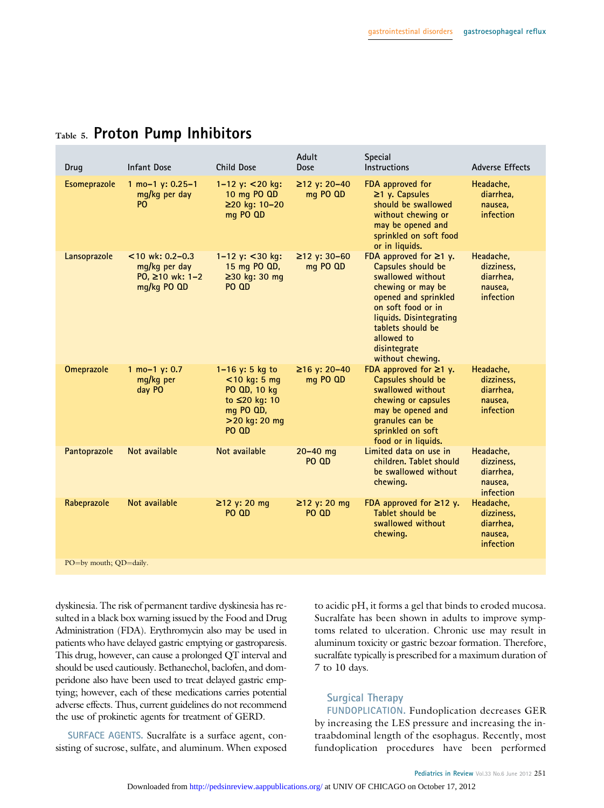| Drug                   | Infant Dose                                                             | <b>Child Dose</b>                                                                                              | Adult<br><b>Dose</b>           | <b>Special</b><br>Instructions                                                                                                                                                                                                               | <b>Adverse Effects</b>                                       |
|------------------------|-------------------------------------------------------------------------|----------------------------------------------------------------------------------------------------------------|--------------------------------|----------------------------------------------------------------------------------------------------------------------------------------------------------------------------------------------------------------------------------------------|--------------------------------------------------------------|
| Esomeprazole           | 1 mo-1 y: 0.25-1<br>mg/kg per day<br>P <sub>O</sub>                     | $1 - 12$ y: < 20 kg:<br>10 mg PO QD<br>≥20 kg: 10-20<br>mg PO QD                                               | $≥12$ y: 20-40<br>mg PO QD     | FDA approved for<br>$\geq$ 1 y. Capsules<br>should be swallowed<br>without chewing or<br>may be opened and<br>sprinkled on soft food<br>or in liquids.                                                                                       | Headache,<br>diarrhea.<br>nausea.<br>infection               |
| Lansoprazole           | $<$ 10 wk: 0.2-0.3<br>mg/kg per day<br>PO, $≥10$ wk: 1-2<br>mg/kg PO QD | $1 - 12$ y: < 30 kg:<br>15 mg PO QD,<br>$\geq$ 30 kg: 30 mg<br>PO OD                                           | $≥12$ y: 30-60<br>mg PO QD     | FDA approved for $\geq 1$ y.<br>Capsules should be<br>swallowed without<br>chewing or may be<br>opened and sprinkled<br>on soft food or in<br>liquids. Disintegrating<br>tablets should be<br>allowed to<br>disintegrate<br>without chewing. | Headache,<br>dizziness,<br>diarrhea,<br>nausea,<br>infection |
| <b>Omeprazole</b>      | 1 mo-1 y: $0.7$<br>mg/kg per<br>day PO                                  | $1 - 16$ y: 5 kg to<br>$<$ 10 kg: 5 mg<br>PO QD, 10 kg<br>to ≤20 kg: 10<br>mg PO QD,<br>>20 kg: 20 mg<br>PO QD | $≥16$ y: 20-40<br>mg PO QD     | FDA approved for $\geq 1$ y.<br>Capsules should be<br>swallowed without<br>chewing or capsules<br>may be opened and<br>granules can be<br>sprinkled on soft<br>food or in liquids.                                                           | Headache,<br>dizziness,<br>diarrhea,<br>nausea,<br>infection |
| Pantoprazole           | Not available                                                           | Not available                                                                                                  | $20 - 40$ mg<br>PO OD          | Limited data on use in<br>children. Tablet should<br>be swallowed without<br>chewing.                                                                                                                                                        | Headache,<br>dizziness.<br>diarrhea.<br>nausea,<br>infection |
| Rabeprazole            | Not available                                                           | $≥12$ y: 20 mg<br><b>PO OD</b>                                                                                 | $≥12$ y: 20 mg<br><b>PO OD</b> | FDA approved for $\geq$ 12 y.<br>Tablet should be<br>swallowed without<br>chewing.                                                                                                                                                           | Headache,<br>dizziness,<br>diarrhea.<br>nausea.<br>infection |
| PO=by mouth; QD=daily. |                                                                         |                                                                                                                |                                |                                                                                                                                                                                                                                              |                                                              |

# Table 5. Proton Pump Inhibitors

dyskinesia. The risk of permanent tardive dyskinesia has resulted in a black box warning issued by the Food and Drug Administration (FDA). Erythromycin also may be used in patients who have delayed gastric emptying or gastroparesis. This drug, however, can cause a prolonged QT interval and should be used cautiously. Bethanechol, baclofen, and domperidone also have been used to treat delayed gastric emptying; however, each of these medications carries potential adverse effects. Thus, current guidelines do not recommend the use of prokinetic agents for treatment of GERD.

SURFACE AGENTS. Sucralfate is a surface agent, consisting of sucrose, sulfate, and aluminum. When exposed to acidic pH, it forms a gel that binds to eroded mucosa. Sucralfate has been shown in adults to improve symptoms related to ulceration. Chronic use may result in aluminum toxicity or gastric bezoar formation. Therefore, sucralfate typically is prescribed for a maximum duration of 7 to 10 days.

#### Surgical Therapy

FUNDOPLICATION. Fundoplication decreases GER by increasing the LES pressure and increasing the intraabdominal length of the esophagus. Recently, most fundoplication procedures have been performed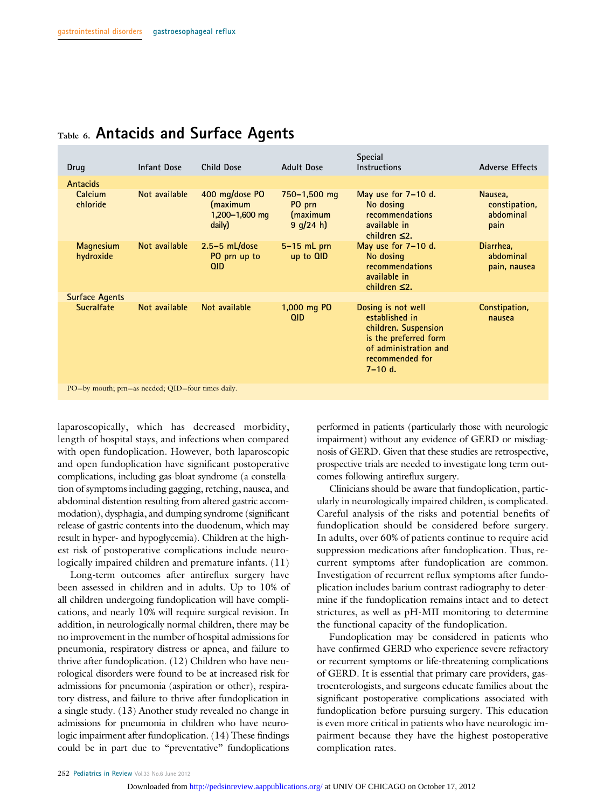| Drug                                              | Infant Dose   | <b>Child Dose</b>                                      | <b>Adult Dose</b>                                 | <b>Special</b><br><b>Instructions</b>                                                                                                            | <b>Adverse Effects</b>                        |
|---------------------------------------------------|---------------|--------------------------------------------------------|---------------------------------------------------|--------------------------------------------------------------------------------------------------------------------------------------------------|-----------------------------------------------|
| <b>Antacids</b>                                   |               |                                                        |                                                   |                                                                                                                                                  |                                               |
| Calcium<br>chloride                               | Not available | 400 mg/dose PO<br>(maximum<br>1,200-1,600 mg<br>daily) | 750-1,500 mg<br>PO prn<br>(maximum<br>$9$ g/24 h) | May use for $7-10$ d.<br>No dosing<br>recommendations<br>available in<br>children $\leq$ 2.                                                      | Nausea,<br>constipation,<br>abdominal<br>pain |
| <b>Magnesium</b><br>hydroxide                     | Not available | $2.5 - 5$ mL/dose<br>PO prn up to<br><b>QID</b>        | $5-15$ mL prn<br>up to QID                        | May use for 7-10 d.<br>No dosing<br>recommendations<br>available in<br>children $\leq$ 2.                                                        | Diarrhea,<br>abdominal<br>pain, nausea        |
| <b>Surface Agents</b>                             |               |                                                        |                                                   |                                                                                                                                                  |                                               |
| <b>Sucralfate</b>                                 | Not available | Not available                                          | 1,000 mg PO<br><b>QID</b>                         | Dosing is not well<br>established in<br>children. Suspension<br>is the preferred form<br>of administration and<br>recommended for<br>$7 - 10$ d. | Constipation,<br>nausea                       |
| PO=by mouth; prn=as needed; QID=four times daily. |               |                                                        |                                                   |                                                                                                                                                  |                                               |

# Table 6. Antacids and Surface Agents

laparoscopically, which has decreased morbidity, length of hospital stays, and infections when compared with open fundoplication. However, both laparoscopic and open fundoplication have significant postoperative complications, including gas-bloat syndrome (a constellation of symptoms including gagging, retching, nausea, and abdominal distention resulting from altered gastric accommodation), dysphagia, and dumping syndrome (significant release of gastric contents into the duodenum, which may result in hyper- and hypoglycemia). Children at the highest risk of postoperative complications include neurologically impaired children and premature infants. (11)

Long-term outcomes after antireflux surgery have been assessed in children and in adults. Up to 10% of all children undergoing fundoplication will have complications, and nearly 10% will require surgical revision. In addition, in neurologically normal children, there may be no improvement in the number of hospital admissions for pneumonia, respiratory distress or apnea, and failure to thrive after fundoplication. (12) Children who have neurological disorders were found to be at increased risk for admissions for pneumonia (aspiration or other), respiratory distress, and failure to thrive after fundoplication in a single study. (13) Another study revealed no change in admissions for pneumonia in children who have neurologic impairment after fundoplication. (14) These findings could be in part due to "preventative" fundoplications

performed in patients (particularly those with neurologic impairment) without any evidence of GERD or misdiagnosis of GERD. Given that these studies are retrospective, prospective trials are needed to investigate long term outcomes following antireflux surgery.

Clinicians should be aware that fundoplication, particularly in neurologically impaired children, is complicated. Careful analysis of the risks and potential benefits of fundoplication should be considered before surgery. In adults, over 60% of patients continue to require acid suppression medications after fundoplication. Thus, recurrent symptoms after fundoplication are common. Investigation of recurrent reflux symptoms after fundoplication includes barium contrast radiography to determine if the fundoplication remains intact and to detect strictures, as well as pH-MII monitoring to determine the functional capacity of the fundoplication.

Fundoplication may be considered in patients who have confirmed GERD who experience severe refractory or recurrent symptoms or life-threatening complications of GERD. It is essential that primary care providers, gastroenterologists, and surgeons educate families about the significant postoperative complications associated with fundoplication before pursuing surgery. This education is even more critical in patients who have neurologic impairment because they have the highest postoperative complication rates.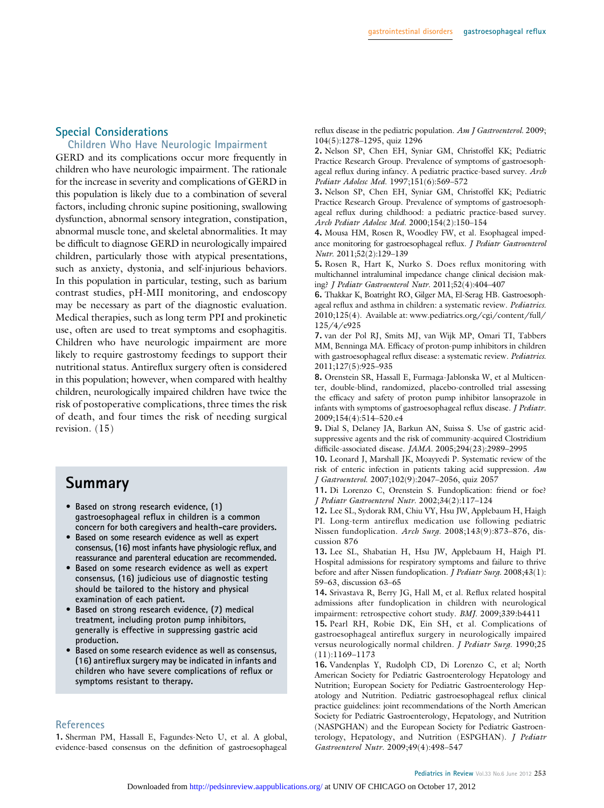#### Special Considerations

#### Children Who Have Neurologic Impairment

GERD and its complications occur more frequently in children who have neurologic impairment. The rationale for the increase in severity and complications of GERD in this population is likely due to a combination of several factors, including chronic supine positioning, swallowing dysfunction, abnormal sensory integration, constipation, abnormal muscle tone, and skeletal abnormalities. It may be difficult to diagnose GERD in neurologically impaired children, particularly those with atypical presentations, such as anxiety, dystonia, and self-injurious behaviors. In this population in particular, testing, such as barium contrast studies, pH-MII monitoring, and endoscopy may be necessary as part of the diagnostic evaluation. Medical therapies, such as long term PPI and prokinetic use, often are used to treat symptoms and esophagitis. Children who have neurologic impairment are more likely to require gastrostomy feedings to support their nutritional status. Antireflux surgery often is considered in this population; however, when compared with healthy children, neurologically impaired children have twice the risk of postoperative complications, three times the risk of death, and four times the risk of needing surgical revision. (15)

### Summary

- Based on strong research evidence, (1) gastroesophageal reflux in children is a common concern for both caregivers and health-care providers.
- Based on some research evidence as well as expert consensus, (16) most infants have physiologic reflux, and reassurance and parenteral education are recommended.
- Based on some research evidence as well as expert consensus, (16) judicious use of diagnostic testing should be tailored to the history and physical examination of each patient.
- Based on strong research evidence, (7) medical treatment, including proton pump inhibitors, generally is effective in suppressing gastric acid production.
- Based on some research evidence as well as consensus, (16) antireflux surgery may be indicated in infants and children who have severe complications of reflux or symptoms resistant to therapy.

#### **References**

1. Sherman PM, Hassall E, Fagundes-Neto U, et al. A global, evidence-based consensus on the definition of gastroesophageal reflux disease in the pediatric population. Am J Gastroenterol. 2009; 104(5):1278–1295, quiz 1296

2. Nelson SP, Chen EH, Syniar GM, Christoffel KK; Pediatric Practice Research Group. Prevalence of symptoms of gastroesophageal reflux during infancy. A pediatric practice-based survey. Arch Pediatr Adolesc Med. 1997;151(6):569–572

3. Nelson SP, Chen EH, Syniar GM, Christoffel KK; Pediatric Practice Research Group. Prevalence of symptoms of gastroesophageal reflux during childhood: a pediatric practice-based survey. Arch Pediatr Adolesc Med. 2000;154(2):150–154

4. Mousa HM, Rosen R, Woodley FW, et al. Esophageal impedance monitoring for gastroesophageal reflux. J Pediatr Gastroenterol Nutr. 2011;52(2):129–139

5. Rosen R, Hart K, Nurko S. Does reflux monitoring with multichannel intraluminal impedance change clinical decision making? J Pediatr Gastroenterol Nutr. 2011;52(4):404–407

6. Thakkar K, Boatright RO, Gilger MA, El-Serag HB. Gastroesophageal reflux and asthma in children: a systematic review. Pediatrics. 2010;125(4). Available at: [www.pediatrics.org/cgi/content/full/](http://www.pediatrics.org/cgi/content/full/125/4/e925) [125/4/e925](http://www.pediatrics.org/cgi/content/full/125/4/e925)

7. van der Pol RJ, Smits MJ, van Wijk MP, Omari TI, Tabbers MM, Benninga MA. Efficacy of proton-pump inhibitors in children with gastroesophageal reflux disease: a systematic review. Pediatrics. 2011;127(5):925–935

8. Orenstein SR, Hassall E, Furmaga-Jablonska W, et al Multicenter, double-blind, randomized, placebo-controlled trial assessing the efficacy and safety of proton pump inhibitor lansoprazole in infants with symptoms of gastroesophageal reflux disease. J Pediatr. 2009;154(4):514–520.e4

9. Dial S, Delaney JA, Barkun AN, Suissa S. Use of gastric acidsuppressive agents and the risk of community-acquired Clostridium difficile-associated disease. JAMA. 2005;294(23):2989–2995

10. Leonard J, Marshall JK, Moayyedi P. Systematic review of the risk of enteric infection in patients taking acid suppression. Am J Gastroenterol. 2007;102(9):2047–2056, quiz 2057

11. Di Lorenzo C, Orenstein S. Fundoplication: friend or foe? J Pediatr Gastroenterol Nutr. 2002;34(2):117–124

12. Lee SL, Sydorak RM, Chiu VY, Hsu JW, Applebaum H, Haigh PI. Long-term antireflux medication use following pediatric Nissen fundoplication. Arch Surg. 2008;143(9):873–876, discussion 876

13. Lee SL, Shabatian H, Hsu JW, Applebaum H, Haigh PI. Hospital admissions for respiratory symptoms and failure to thrive before and after Nissen fundoplication. *J Pediatr Surg*. 2008;43(1): 59–63, discussion 63–65

14. Srivastava R, Berry JG, Hall M, et al. Reflux related hospital admissions after fundoplication in children with neurological impairment: retrospective cohort study. BMJ. 2009;339:b4411

15. Pearl RH, Robie DK, Ein SH, et al. Complications of gastroesophageal antireflux surgery in neurologically impaired versus neurologically normal children. *J Pediatr Surg*. 1990;25 (11):1169–1173

16. Vandenplas Y, Rudolph CD, Di Lorenzo C, et al; North American Society for Pediatric Gastroenterology Hepatology and Nutrition; European Society for Pediatric Gastroenterology Hepatology and Nutrition. Pediatric gastroesophageal reflux clinical practice guidelines: joint recommendations of the North American Society for Pediatric Gastroenterology, Hepatology, and Nutrition (NASPGHAN) and the European Society for Pediatric Gastroenterology, Hepatology, and Nutrition (ESPGHAN). J Pediatr Gastroenterol Nutr. 2009;49(4):498–547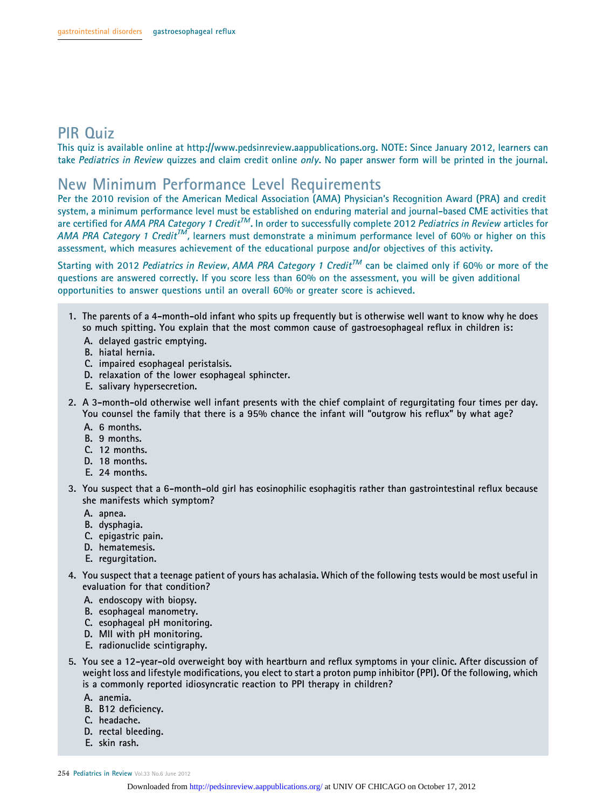# PIR Quiz

This quiz is available online at http://www.pedsinreview.aappublications.org. NOTE: Since January 2012, learners can take Pediatrics in Review quizzes and claim credit online only. No paper answer form will be printed in the journal.

# New Minimum Performance Level Requirements

Per the 2010 revision of the American Medical Association (AMA) Physician's Recognition Award (PRA) and credit system, a minimum performance level must be established on enduring material and journal-based CME activities that are certified for AMA PRA Category 1 Credit<sup>TM</sup>. In order to successfully complete 2012 Pediatrics in Review articles for AMA PRA Category 1 Credit  $^{7M}$ , learners must demonstrate a minimum performance level of 60% or higher on this assessment, which measures achievement of the educational purpose and/or objectives of this activity.

Starting with 2012 Pediatrics in Review, AMA PRA Category 1 Credit<sup>TM</sup> can be claimed only if 60% or more of the questions are answered correctly. If you score less than 60% on the assessment, you will be given additional opportunities to answer questions until an overall 60% or greater score is achieved.

- 1. The parents of a 4-month-old infant who spits up frequently but is otherwise well want to know why he does so much spitting. You explain that the most common cause of gastroesophageal reflux in children is:
	- A. delayed gastric emptying.
	- B. hiatal hernia.
	- C. impaired esophageal peristalsis.
	- D. relaxation of the lower esophageal sphincter.
	- E. salivary hypersecretion.
- 2. A 3-month-old otherwise well infant presents with the chief complaint of regurgitating four times per day. You counsel the family that there is a 95% chance the infant will "outgrow his reflux" by what age?
	- A. 6 months.
	- B. 9 months.
	- C. 12 months.
	- D. 18 months.
	- E. 24 months.
- 3. You suspect that a 6-month-old girl has eosinophilic esophagitis rather than gastrointestinal reflux because she manifests which symptom?
	- A. apnea.
	- B. dysphagia.
	- C. epigastric pain.
	- D. hematemesis.
	- E. regurgitation.
- 4. You suspect that a teenage patient of yours has achalasia. Which of the following tests would be most useful in evaluation for that condition?
	- A. endoscopy with biopsy.
	- B. esophageal manometry.
	- C. esophageal pH monitoring.
	- D. MII with pH monitoring.
	- E. radionuclide scintigraphy.
- 5. You see a 12-year-old overweight boy with heartburn and reflux symptoms in your clinic. After discussion of weight loss and lifestyle modifications, you elect to start a proton pump inhibitor (PPI). Of the following, which is a commonly reported idiosyncratic reaction to PPI therapy in children?
	- A. anemia.
	- B. B12 deficiency.
	- C. headache.
	- D. rectal bleeding.
	- E. skin rash.